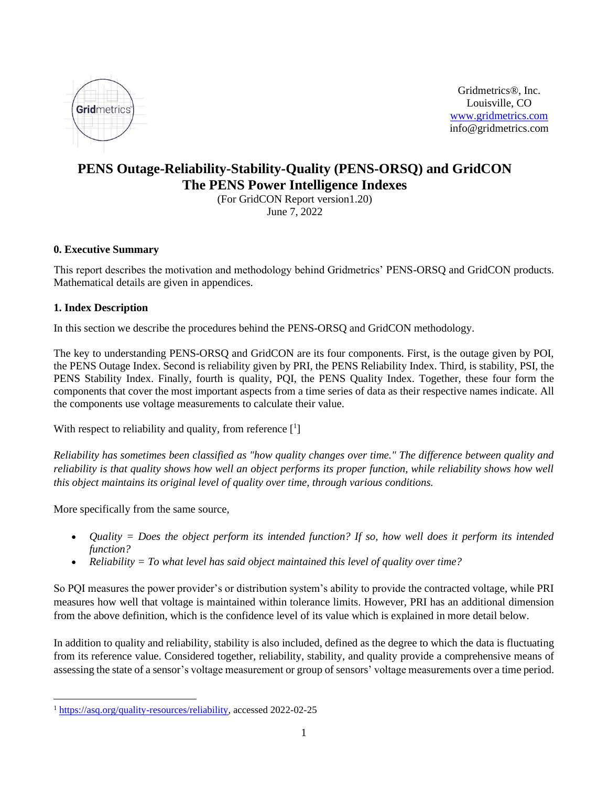

Gridmetrics®, Inc. Louisville, CO [www.gridmetrics.com](about:blank) info@gridmetrics.com

# **PENS Outage-Reliability-Stability-Quality (PENS-ORSQ) and GridCON The PENS Power Intelligence Indexes**

(For GridCON Report version1.20) June 7, 2022

## **0. Executive Summary**

This report describes the motivation and methodology behind Gridmetrics' PENS-ORSQ and GridCON products. Mathematical details are given in appendices.

## **1. Index Description**

In this section we describe the procedures behind the PENS-ORSQ and GridCON methodology.

The key to understanding PENS-ORSQ and GridCON are its four components. First, is the outage given by POI, the PENS Outage Index. Second is reliability given by PRI, the PENS Reliability Index. Third, is stability, PSI, the PENS Stability Index. Finally, fourth is quality, PQI, the PENS Quality Index. Together, these four form the components that cover the most important aspects from a time series of data as their respective names indicate. All the components use voltage measurements to calculate their value.

With respect to reliability and quality, from reference  $\begin{bmatrix} 1 \end{bmatrix}$ 

*Reliability has sometimes been classified as "how quality changes over time." The difference between quality and reliability is that quality shows how well an object performs its proper function, while reliability shows how well this object maintains its original level of quality over time, through various conditions.*

More specifically from the same source,

- *Quality = Does the object perform its intended function? If so, how well does it perform its intended function?*
- *Reliability = To what level has said object maintained this level of quality over time?*

So PQI measures the power provider's or distribution system's ability to provide the contracted voltage, while PRI measures how well that voltage is maintained within tolerance limits. However, PRI has an additional dimension from the above definition, which is the confidence level of its value which is explained in more detail below.

In addition to quality and reliability, stability is also included, defined as the degree to which the data is fluctuating from its reference value. Considered together, reliability, stability, and quality provide a comprehensive means of assessing the state of a sensor's voltage measurement or group of sensors' voltage measurements over a time period.

<sup>&</sup>lt;sup>1</sup> [https://asq.org/quality-resources/reliability,](about:blank) accessed 2022-02-25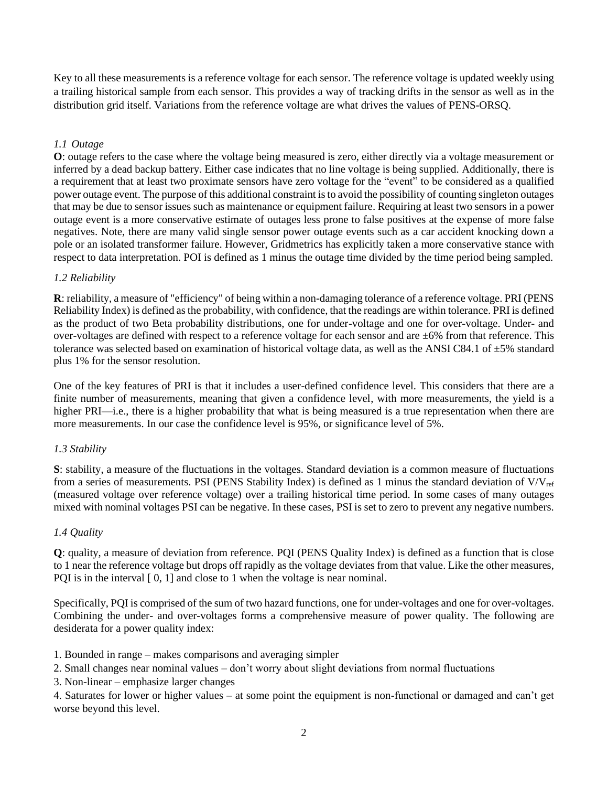Key to all these measurements is a reference voltage for each sensor. The reference voltage is updated weekly using a trailing historical sample from each sensor. This provides a way of tracking drifts in the sensor as well as in the distribution grid itself. Variations from the reference voltage are what drives the values of PENS-ORSQ.

## *1.1 Outage*

**O**: outage refers to the case where the voltage being measured is zero, either directly via a voltage measurement or inferred by a dead backup battery. Either case indicates that no line voltage is being supplied. Additionally, there is a requirement that at least two proximate sensors have zero voltage for the "event" to be considered as a qualified power outage event. The purpose of this additional constraint is to avoid the possibility of counting singleton outages that may be due to sensor issues such as maintenance or equipment failure. Requiring at least two sensors in a power outage event is a more conservative estimate of outages less prone to false positives at the expense of more false negatives. Note, there are many valid single sensor power outage events such as a car accident knocking down a pole or an isolated transformer failure. However, Gridmetrics has explicitly taken a more conservative stance with respect to data interpretation. POI is defined as 1 minus the outage time divided by the time period being sampled.

## *1.2 Reliability*

**R**: reliability, a measure of "efficiency" of being within a non-damaging tolerance of a reference voltage. PRI (PENS Reliability Index) is defined as the probability, with confidence, that the readings are within tolerance. PRI is defined as the product of two Beta probability distributions, one for under-voltage and one for over-voltage. Under- and over-voltages are defined with respect to a reference voltage for each sensor and are ±6% from that reference. This tolerance was selected based on examination of historical voltage data, as well as the ANSI C84.1 of  $\pm 5\%$  standard plus 1% for the sensor resolution.

One of the key features of PRI is that it includes a user-defined confidence level. This considers that there are a finite number of measurements, meaning that given a confidence level, with more measurements, the yield is a higher PRI—i.e., there is a higher probability that what is being measured is a true representation when there are more measurements. In our case the confidence level is 95%, or significance level of 5%.

## *1.3 Stability*

**S**: stability, a measure of the fluctuations in the voltages. Standard deviation is a common measure of fluctuations from a series of measurements. PSI (PENS Stability Index) is defined as 1 minus the standard deviation of  $V/V_{ref}$ (measured voltage over reference voltage) over a trailing historical time period. In some cases of many outages mixed with nominal voltages PSI can be negative. In these cases, PSI is set to zero to prevent any negative numbers.

#### *1.4 Quality*

**Q**: quality, a measure of deviation from reference. PQI (PENS Quality Index) is defined as a function that is close to 1 near the reference voltage but drops off rapidly as the voltage deviates from that value. Like the other measures, PQI is in the interval  $[0, 1]$  and close to 1 when the voltage is near nominal.

Specifically, PQI is comprised of the sum of two hazard functions, one for under-voltages and one for over-voltages. Combining the under- and over-voltages forms a comprehensive measure of power quality. The following are desiderata for a power quality index:

- 1. Bounded in range makes comparisons and averaging simpler
- 2. Small changes near nominal values don't worry about slight deviations from normal fluctuations
- 3. Non-linear emphasize larger changes

4. Saturates for lower or higher values – at some point the equipment is non-functional or damaged and can't get worse beyond this level.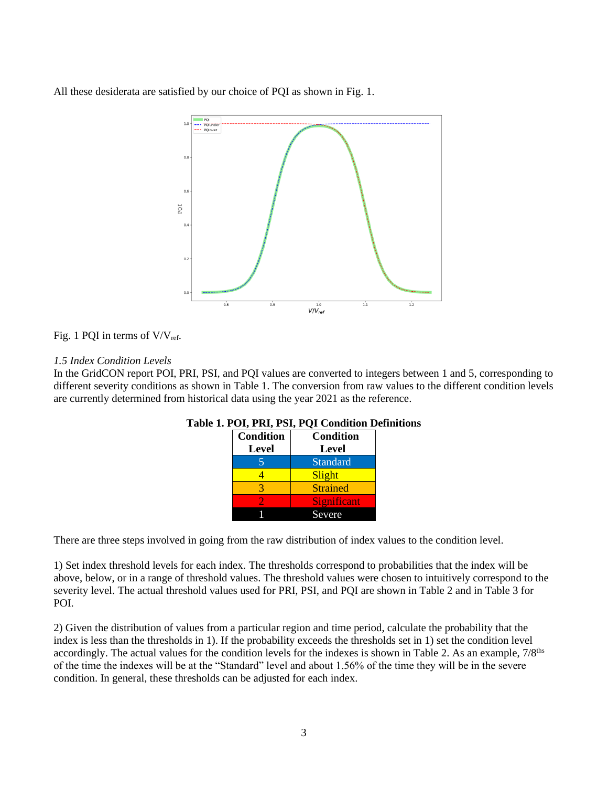All these desiderata are satisfied by our choice of PQI as shown in Fig. 1.



## Fig. 1 PQI in terms of  $V/V_{ref}$ .

### *1.5 Index Condition Levels*

In the GridCON report POI, PRI, PSI, and PQI values are converted to integers between 1 and 5, corresponding to different severity conditions as shown in Table 1. The conversion from raw values to the different condition levels are currently determined from historical data using the year 2021 as the reference.

| <b>Condition</b>         | <b>Condition</b>   |  |  |
|--------------------------|--------------------|--|--|
| <b>Level</b>             | Level              |  |  |
| $\overline{\mathcal{L}}$ | <b>Standard</b>    |  |  |
|                          | Slight             |  |  |
|                          | <b>Strained</b>    |  |  |
|                          | <b>Significant</b> |  |  |
|                          | Severe             |  |  |

#### **Table 1. POI, PRI, PSI, PQI Condition Definitions**

There are three steps involved in going from the raw distribution of index values to the condition level.

1) Set index threshold levels for each index. The thresholds correspond to probabilities that the index will be above, below, or in a range of threshold values. The threshold values were chosen to intuitively correspond to the severity level. The actual threshold values used for PRI, PSI, and PQI are shown in Table 2 and in Table 3 for POI.

2) Given the distribution of values from a particular region and time period, calculate the probability that the index is less than the thresholds in 1). If the probability exceeds the thresholds set in 1) set the condition level accordingly. The actual values for the condition levels for the indexes is shown in Table 2. As an example,  $7/8<sup>ths</sup>$ of the time the indexes will be at the "Standard" level and about 1.56% of the time they will be in the severe condition. In general, these thresholds can be adjusted for each index.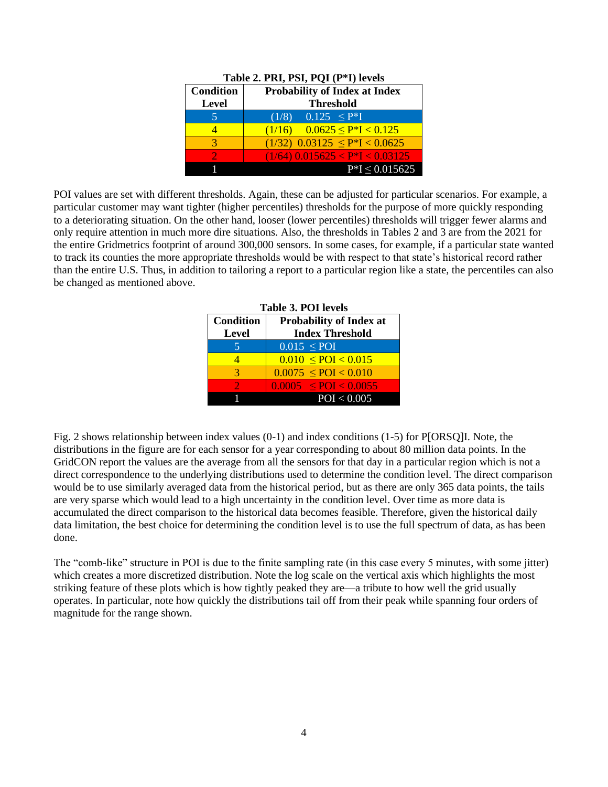| <b>Condition</b> | <b>Probability of Index at Index</b>  |  |  |
|------------------|---------------------------------------|--|--|
| Level            | <b>Threshold</b>                      |  |  |
|                  | $(1/8)$ 0.125 $\leq P^*I$             |  |  |
|                  | $(1/16)$ 0.0625 $\leq$ P*I $<$ 0.125  |  |  |
|                  | $(1/32)$ 0.03125 $\leq P^*I < 0.0625$ |  |  |
|                  | $(1/64)$ 0.015625 < P*I < 0.03125     |  |  |
|                  | $P*I \leq 0.015625$                   |  |  |

|  |  |  | Table 2. PRI, PSI, PQI (P*I) levels |
|--|--|--|-------------------------------------|
|  |  |  |                                     |

POI values are set with different thresholds. Again, these can be adjusted for particular scenarios. For example, a particular customer may want tighter (higher percentiles) thresholds for the purpose of more quickly responding to a deteriorating situation. On the other hand, looser (lower percentiles) thresholds will trigger fewer alarms and only require attention in much more dire situations. Also, the thresholds in Tables 2 and 3 are from the 2021 for the entire Gridmetrics footprint of around 300,000 sensors. In some cases, for example, if a particular state wanted to track its counties the more appropriate thresholds would be with respect to that state's historical record rather than the entire U.S. Thus, in addition to tailoring a report to a particular region like a state, the percentiles can also be changed as mentioned above.

| <b>Table 3. POI levels</b> |                                                                          |  |  |
|----------------------------|--------------------------------------------------------------------------|--|--|
| <b>Condition</b>           | <b>Probability of Index at</b><br><b>Index Threshold</b><br><b>Level</b> |  |  |
| 5                          | $0.015 \leq POI$                                                         |  |  |
|                            | $0.010 \leq POI < 0.015$                                                 |  |  |
| 3                          | $0.0075 \leq POI < 0.010$                                                |  |  |
|                            | $0.0005 \leq POI \leq 0.0055$                                            |  |  |
|                            | POI < 0.005                                                              |  |  |

Fig. 2 shows relationship between index values (0-1) and index conditions (1-5) for P[ORSQ]I. Note, the distributions in the figure are for each sensor for a year corresponding to about 80 million data points. In the GridCON report the values are the average from all the sensors for that day in a particular region which is not a direct correspondence to the underlying distributions used to determine the condition level. The direct comparison would be to use similarly averaged data from the historical period, but as there are only 365 data points, the tails are very sparse which would lead to a high uncertainty in the condition level. Over time as more data is accumulated the direct comparison to the historical data becomes feasible. Therefore, given the historical daily data limitation, the best choice for determining the condition level is to use the full spectrum of data, as has been done.

The "comb-like" structure in POI is due to the finite sampling rate (in this case every 5 minutes, with some jitter) which creates a more discretized distribution. Note the log scale on the vertical axis which highlights the most striking feature of these plots which is how tightly peaked they are—a tribute to how well the grid usually operates. In particular, note how quickly the distributions tail off from their peak while spanning four orders of magnitude for the range shown.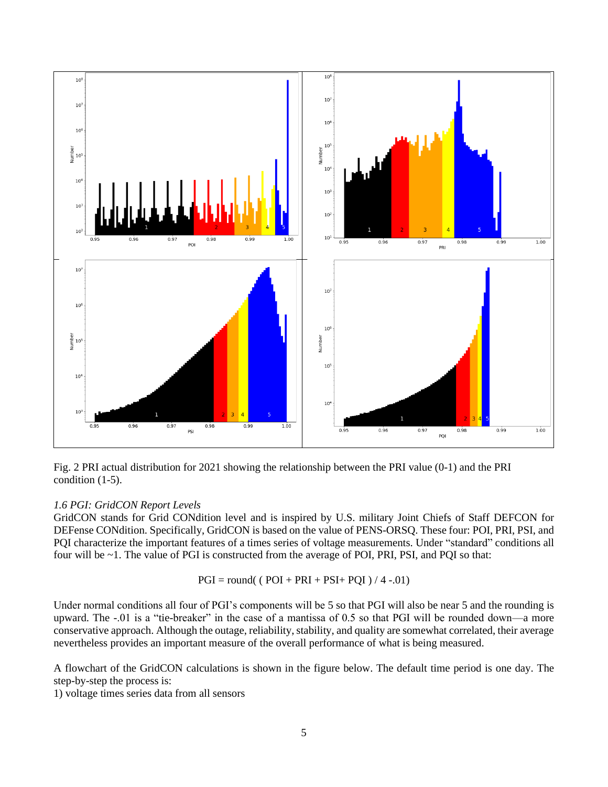

Fig. 2 PRI actual distribution for 2021 showing the relationship between the PRI value (0-1) and the PRI condition (1-5).

#### *1.6 PGI: GridCON Report Levels*

GridCON stands for Grid CONdition level and is inspired by U.S. military Joint Chiefs of Staff DEFCON for DEFense CONdition. Specifically, GridCON is based on the value of PENS-ORSQ. These four: POI, PRI, PSI, and PQI characterize the important features of a times series of voltage measurements. Under "standard" conditions all four will be ~1. The value of PGI is constructed from the average of POI, PRI, PSI, and PQI so that:

$$
PGI = round( (POI + PRI + PSI + PQI) / 4 - 01)
$$

Under normal conditions all four of PGI's components will be 5 so that PGI will also be near 5 and the rounding is upward. The -.01 is a "tie-breaker" in the case of a mantissa of 0.5 so that PGI will be rounded down—a more conservative approach. Although the outage, reliability, stability, and quality are somewhat correlated, their average nevertheless provides an important measure of the overall performance of what is being measured.

A flowchart of the GridCON calculations is shown in the figure below. The default time period is one day. The step-by-step the process is:

1) voltage times series data from all sensors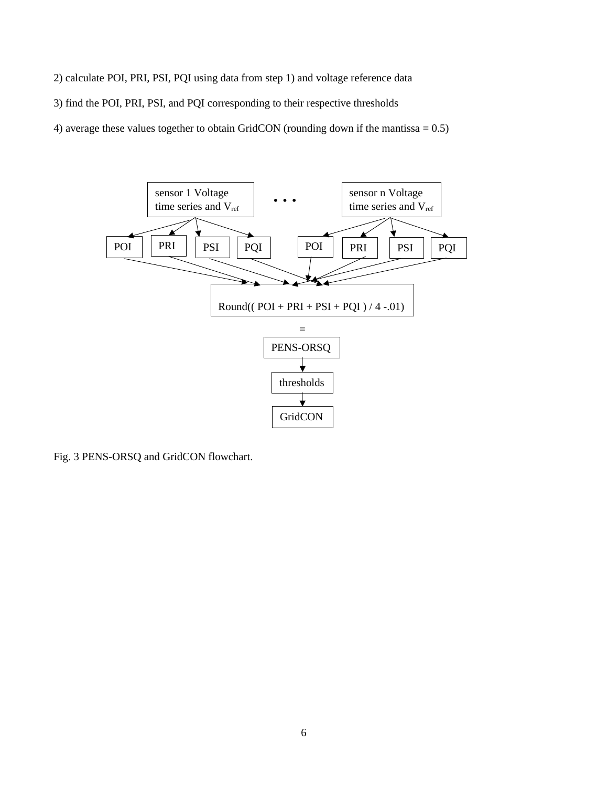2) calculate POI, PRI, PSI, PQI using data from step 1) and voltage reference data 3) find the POI, PRI, PSI, and PQI corresponding to their respective thresholds 4) average these values together to obtain GridCON (rounding down if the mantissa = 0.5)



Fig. 3 PENS-ORSQ and GridCON flowchart.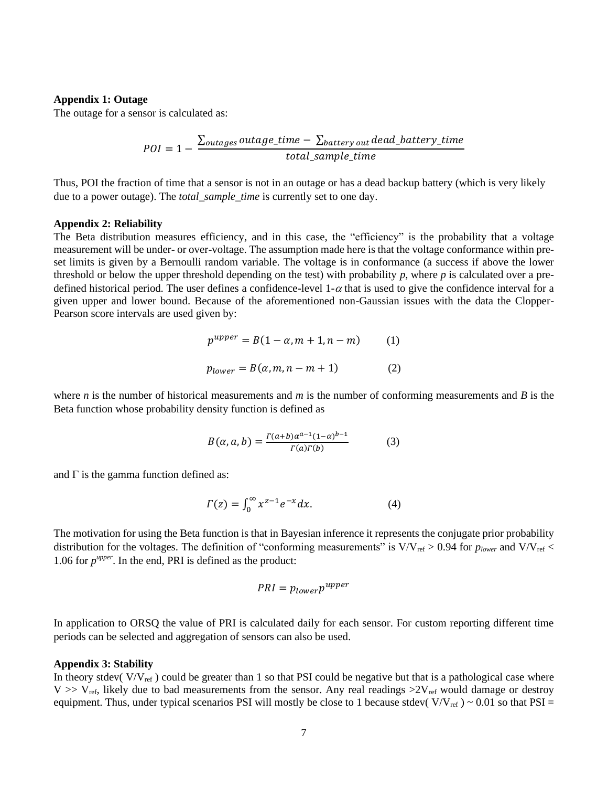#### **Appendix 1: Outage**

The outage for a sensor is calculated as:

$$
POI = 1 - \frac{\sum_{outages} outage\_time - \sum_{battery_{out}} dead\_battery\_time}{total\_sample\_time}
$$

Thus, POI the fraction of time that a sensor is not in an outage or has a dead backup battery (which is very likely due to a power outage). The *total\_sample\_time* is currently set to one day.

#### **Appendix 2: Reliability**

The Beta distribution measures efficiency, and in this case, the "efficiency" is the probability that a voltage measurement will be under- or over-voltage. The assumption made here is that the voltage conformance within preset limits is given by a Bernoulli random variable. The voltage is in conformance (a success if above the lower threshold or below the upper threshold depending on the test) with probability *p*, where *p* is calculated over a predefined historical period. The user defines a confidence-level  $1-\alpha$  that is used to give the confidence interval for a given upper and lower bound. Because of the aforementioned non-Gaussian issues with the data the Clopper-Pearson score intervals are used given by:

$$
p^{upper} = B(1 - \alpha, m + 1, n - m)
$$
 (1)  

$$
p_{lower} = B(\alpha, m, n - m + 1)
$$
 (2)

where *n* is the number of historical measurements and *m* is the number of conforming measurements and *B* is the Beta function whose probability density function is defined as

$$
B(\alpha, a, b) = \frac{\Gamma(a+b)\alpha^{a-1}(1-\alpha)^{b-1}}{\Gamma(a)\Gamma(b)}
$$
(3)

and  $\Gamma$  is the gamma function defined as:

$$
\Gamma(z) = \int_0^\infty x^{z-1} e^{-x} dx.
$$
 (4)

The motivation for using the Beta function is that in Bayesian inference it represents the conjugate prior probability distribution for the voltages. The definition of "conforming measurements" is  $V/V_{ref} > 0.94$  for  $p_{lower}$  and  $V/V_{ref} <$ 1.06 for  $p^{upper}$ . In the end, PRI is defined as the product:

$$
PRI = p_{lower} p^{upper}
$$

In application to ORSQ the value of PRI is calculated daily for each sensor. For custom reporting different time periods can be selected and aggregation of sensors can also be used.

#### **Appendix 3: Stability**

In theory stdev( $V/V_{ref}$ ) could be greater than 1 so that PSI could be negative but that is a pathological case where  $V \gg V_{ref}$ , likely due to bad measurements from the sensor. Any real readings  $>2V_{ref}$  would damage or destroy equipment. Thus, under typical scenarios PSI will mostly be close to 1 because stdev( $V/V_{ref}$ ) ~ 0.01 so that PSI =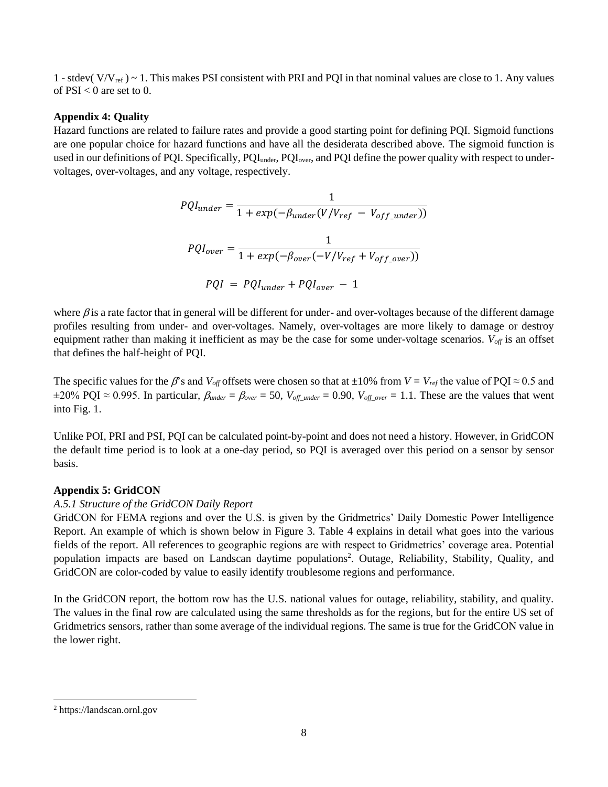1 - stdev( $V/V_{ref}$ ) ~ 1. This makes PSI consistent with PRI and PQI in that nominal values are close to 1. Any values of  $PSI < 0$  are set to 0.

#### **Appendix 4: Quality**

Hazard functions are related to failure rates and provide a good starting point for defining PQI. Sigmoid functions are one popular choice for hazard functions and have all the desiderata described above. The sigmoid function is used in our definitions of PQI. Specifically, PQI<sub>under</sub>, PQI<sub>over</sub>, and PQI define the power quality with respect to undervoltages, over-voltages, and any voltage, respectively.

$$
PQI_{under} = \frac{1}{1 + exp(-\beta_{under}(V/V_{ref} - V_{off\_under}))}
$$

$$
PQI_{over} = \frac{1}{1 + exp(-\beta_{over}(-V/V_{ref} + V_{off\_over}))}
$$

$$
PQI = PQI_{under} + PQI_{over} - 1
$$

where  $\beta$  is a rate factor that in general will be different for under- and over-voltages because of the different damage profiles resulting from under- and over-voltages. Namely, over-voltages are more likely to damage or destroy equipment rather than making it inefficient as may be the case for some under-voltage scenarios. *V*<sub>off</sub> is an offset that defines the half-height of PQI.

The specific values for the  $\beta$ 's and *V*<sub>off</sub> offsets were chosen so that at ±10% from *V* = *V*<sub>ref</sub> the value of PQI ≈ 0.5 and  $\pm 20\%$  PQI  $\approx 0.995$ . In particular,  $\beta_{under} = \beta_{over} = 50$ ,  $V_{off\_under} = 0.90$ ,  $V_{off\_over} = 1.1$ . These are the values that went into Fig. 1.

Unlike POI, PRI and PSI, PQI can be calculated point-by-point and does not need a history. However, in GridCON the default time period is to look at a one-day period, so PQI is averaged over this period on a sensor by sensor basis.

## **Appendix 5: GridCON**

#### *A.5.1 Structure of the GridCON Daily Report*

GridCON for FEMA regions and over the U.S. is given by the Gridmetrics' Daily Domestic Power Intelligence Report. An example of which is shown below in Figure 3. Table 4 explains in detail what goes into the various fields of the report. All references to geographic regions are with respect to Gridmetrics' coverage area. Potential population impacts are based on Landscan daytime populations<sup>2</sup>. Outage, Reliability, Stability, Quality, and GridCON are color-coded by value to easily identify troublesome regions and performance.

In the GridCON report, the bottom row has the U.S. national values for outage, reliability, stability, and quality. The values in the final row are calculated using the same thresholds as for the regions, but for the entire US set of Gridmetrics sensors, rather than some average of the individual regions. The same is true for the GridCON value in the lower right.

<sup>2</sup> https://landscan.ornl.gov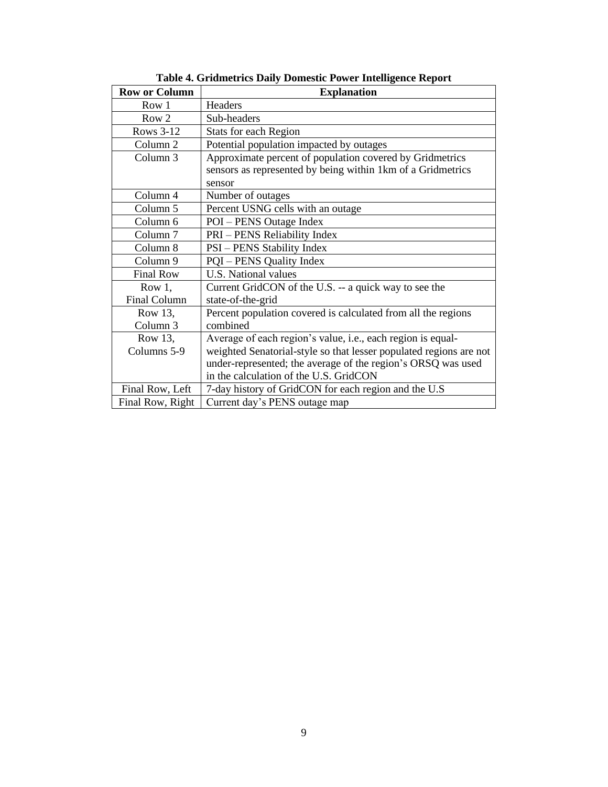| <b>Row or Column</b> | <b>Explanation</b>                                                 |  |  |
|----------------------|--------------------------------------------------------------------|--|--|
| Row 1                | <b>Headers</b>                                                     |  |  |
| Row 2                | Sub-headers                                                        |  |  |
| Rows 3-12            | <b>Stats for each Region</b>                                       |  |  |
| Column 2             | Potential population impacted by outages                           |  |  |
| Column 3             | Approximate percent of population covered by Gridmetrics           |  |  |
|                      | sensors as represented by being within 1km of a Gridmetrics        |  |  |
|                      | sensor                                                             |  |  |
| Column 4             | Number of outages                                                  |  |  |
| Column 5             | Percent USNG cells with an outage                                  |  |  |
| Column 6             | POI – PENS Outage Index                                            |  |  |
| Column <sub>7</sub>  | PRI – PENS Reliability Index                                       |  |  |
| Column 8             | <b>PSI</b> – PENS Stability Index                                  |  |  |
| Column 9             | <b>PQI</b> – PENS Quality Index                                    |  |  |
| <b>Final Row</b>     | U.S. National values                                               |  |  |
| Row $1,$             | Current GridCON of the U.S. -- a quick way to see the              |  |  |
| <b>Final Column</b>  | state-of-the-grid                                                  |  |  |
| Row 13,              | Percent population covered is calculated from all the regions      |  |  |
| Column <sub>3</sub>  | combined                                                           |  |  |
| Row 13,              | Average of each region's value, i.e., each region is equal-        |  |  |
| Columns 5-9          | weighted Senatorial-style so that lesser populated regions are not |  |  |
|                      | under-represented; the average of the region's ORSQ was used       |  |  |
|                      | in the calculation of the U.S. GridCON                             |  |  |
| Final Row, Left      | 7-day history of GridCON for each region and the U.S               |  |  |
| Final Row, Right     | Current day's PENS outage map                                      |  |  |

**Table 4. Gridmetrics Daily Domestic Power Intelligence Report**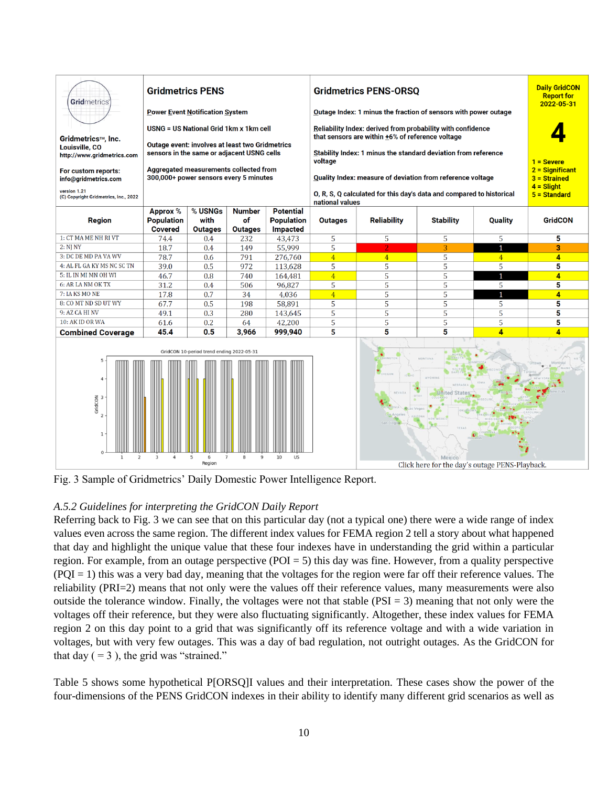

Fig. 3 Sample of Gridmetrics' Daily Domestic Power Intelligence Report.

## *A.5.2 Guidelines for interpreting the GridCON Daily Report*

Referring back to Fig. 3 we can see that on this particular day (not a typical one) there were a wide range of index values even across the same region. The different index values for FEMA region 2 tell a story about what happened that day and highlight the unique value that these four indexes have in understanding the grid within a particular region. For example, from an outage perspective ( $POI = 5$ ) this day was fine. However, from a quality perspective  $(POI = 1)$  this was a very bad day, meaning that the voltages for the region were far off their reference values. The reliability (PRI=2) means that not only were the values off their reference values, many measurements were also outside the tolerance window. Finally, the voltages were not that stable  $(PSI = 3)$  meaning that not only were the voltages off their reference, but they were also fluctuating significantly. Altogether, these index values for FEMA region 2 on this day point to a grid that was significantly off its reference voltage and with a wide variation in voltages, but with very few outages. This was a day of bad regulation, not outright outages. As the GridCON for that day  $( = 3)$ , the grid was "strained."

Table 5 shows some hypothetical P[ORSQ]I values and their interpretation. These cases show the power of the four-dimensions of the PENS GridCON indexes in their ability to identify many different grid scenarios as well as